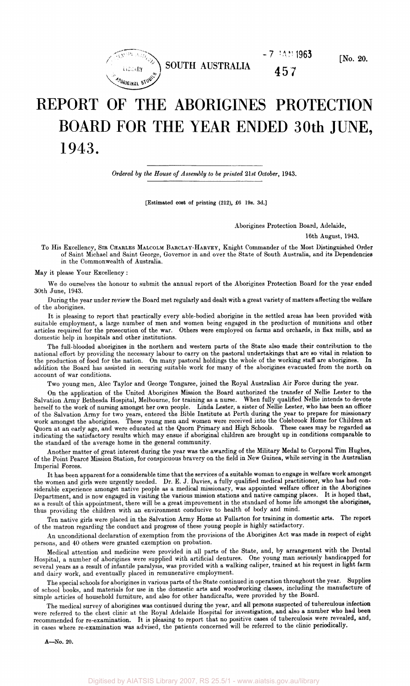

**SOUTH AUSTRALIA 457** 

# REPORT OF THE ABORIGINES PROTECTION BOARD FOR THE YEAR ENDED 30th JUNE, 1943.

*Ordered by the House of Assembly to be printed 21st October,* 1943.

[Estimated cost of printing (212), £6 19s. 3d.]

#### Aborigines Protection Board, Adelaide,

 $-7$   $-14$   $1963$ 

16th August, 1943.

To His Excellency, SIR CHARLES MALCOLM BARCLAY-HARVEY, Knight Commander of the Most Distinguished Order of Saint Michael and Saint George, Governor in and over the State of South Australia, and its Dependencies in the Commonwealth of Australia.

May it please Your Excellency :

We do ourselves the honour to submit the annual report of the Aborigines Protection Board for the year ended 30th June, 1943.

During the year under review the Board met regularly and dealt with a great variety of matters affecting the welfare of the aborigines.

It is pleasing to report that practically every able-bodied aborigine in the settled areas has been provided with suitable employment, a large number of men and women being engaged in the production of munitions and other articles required for the prosecution of the war. Others were employed on farms and orchards, in flax mills, and as domestic help in hospitals and other institutions.

The full-blooded aborigines in the northern and western parts of the State also made their contribution to the national effort by providing the necessary labour to carry on the pastoral undertakings that are so vital in relation to the production of food for the nation. On many pastoral holdings the whole of the working staff are aborigines. In addition the Board has assisted in securing suitable work for many of the aborigines evacuated from the north on account of war conditions.

Two young men, Alec Taylor and George Tongaree, joined the Royal Australian Air Force during the year.

On the application of the United Aborigines Mission the Board authorized the transfer of Nellie Lester to the Salvation Army Bethesda Hospital, Melbourne, for training as a nurse. When fully qualified Nellie intends to devote herself to the work of nursing amongst her own people. Linda Lester, a sister of Nellie Lester, who has been an officer of the Salvation Army for two years, entered the Bible Institute at Perth during the year to prepare for missionary work amongst the aborigines. These young men and women were received into the Colebrook Home for Children at Quorn at an early age, and were educated at the Quorn Primary and High Schools. These cases may be regarded as indicating the satisfactory results which may ensue if aboriginal children are brought up in conditions comparable to the standard of the average home in the general community.

Another matter of great interest during the year was the awarding of the Military Medal to Corporal Tim Hughes, of the Point Pearcd Mission Station, for conspicuous bravery on the field in New Guinea, while serving in the Australian Imperial Forces.

It has been apparent for a considerable time that the services of a suitable woman to engage in welfare work amongst the women and girls were urgently needed. Dr. E. J. Davies, a fully qualified medical practitioner, who has had considerable experience amongst native people as a medical missionary, was appointed welfare officer in the Aborigines Department, and is now engaged in visiting the various mission stations and native camping places. It is hoped that, as a result of this appointment, there will be a great improvement in the standard of home life amongst the aborigines, thus providing the children with an environment conducive to health of body and mind.

Ten native girls were placed in the Salvation Army Home at Fullarton for training in domestic arts. The report of the matron regarding the conduct and progress of these young people is highly satisfactory.

An unconditional declaration of exemption from the provisions of the Aborigines Act was made in respect of eight persons, and 40 others were granted exemption on probation.

Medical attention and medicine were provided in all parts of the State, and, by arrangement with the Dental Hospital, a number of aborigines were supplied with artificial dentures. One young man seriously handicapped for several years as a result of infantile paralysis, was provided with a walking caliper, trained at his request in light farm and dairy work, and eventually placed in remunerative employment.

The special schools for aborigines in various parts of the State continued in operation throughout the year. Supplies of school books, and materials for use in the domestic arts and woodworking classes, including the manufacture of simple articles of household furniture, and also for other handicrafts, were provided by the Board.

The medical survey of aborigines was continued during the year, and all persons suspected of tuberculous infection were referred to the chest clinic at the Royal Adelaide Hospital for investigation, and also a number who had been recommended for re-examination. It is pleasing to report that no positive cases of tuberculosis were revealed, and, in cases where re-examination was advised, the patients concerned will be referred to the clinic periodically.

A—No. 20.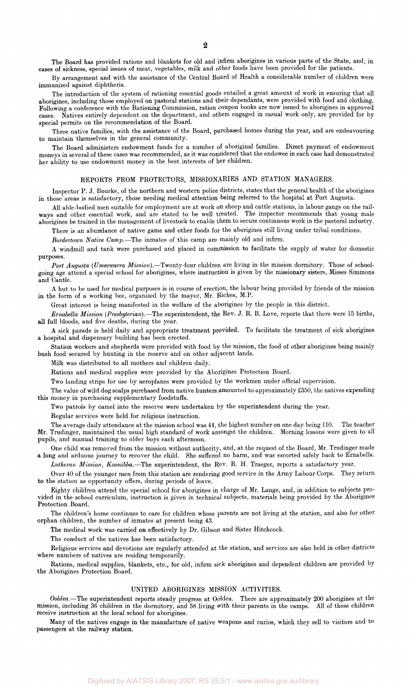The Board has provided rations and blankets for old and infirm aborigines in various parts of the State, and, in cases of sickness, special issues of meat, vegetables, milk and other foods have been provided for the patients.

By arrangement and with the assistance of the Central Board of Health a considerable number of children were immunized against diphtheria.

The introduction of the system of rationing essential goods entailed a great amount of work in ensuring that all aborigines, including those employed on pastoral stations and their dependants, were provided with food and clothing. Following a conference with the Rationing Commission, ration coupon books are now issued to aborigines in approved cases. Natives entirely dependent on the department, and others engaged in casual work only, are provided for by special permits on the recommendation of the Board.

Three native families, with the assistance of the Board, purchased homes during the year, and are endeavouring to maintain themselves in the general community.

The Board administers endowment funds for a number of aboriginal families. Direct payment of endowment moneys in several of these cases was recommended, as it was considered that the endowee in each case had demonstrated her ability to use endowment money in the best interests of her children.

## REPORTS FROM PROTECTORS, MISSIONARIES AND STATION MANAGERS.

Inspector P. J. Bourke, of the northern and western police districts, states that the general health of the aborigines in those areas is satisfactory, those needing medical attention being referred to the hospital at Port Augusta.

All able-bodied men suitable for employment are at work on sheep and cattle stations, in labour gangs on the railways and other essential work, and are stated to be well treated. The inspector recommends that young male aborigines be trained in the management of livestock to enable them to secure continuous work in the pastoral industry.

There is an abundance of native game and other foods for the aborigines still living under tribal conditions.

*Bordertown Native Camp.*—The inmates of this camp are mainly old and infirm.

A windmill and tank were purchased and placed in commission to facilitate the supply of water for domestic purposes.

*Port Augusta (Umeewarra Mission,).*—Twenty-four children are living in the mission dormitory. Those of schoolgoing age attend a special school for aborigines, where instruction is given by the missionary sisters, Misses Simmons and Cantle.

A hut to be used for medical purposes is in course of erection, the labour being provided by friends of the mission in the form of a working bee, organized by the mayor, Mr. Riches, M.P.

Great interest is being manifested in the welfare of the aborigines by the people in this district.

*Ernabella Mission (Presbyterian).*—The superintendent, the Rev. J. R. B. Love, reports that there were 15 births, all full bloods, and five deaths, during the year.

A sick parade is held daily and appropriate treatment provided. To facilitate the treatment of sick aborigines a hospital and dispensary building has been erected.

Station workers and shepherds were provided with food by the mission, the food of other aborigines being mainly bush food secured by hunting in the reserve and on other adjacent lands.

Milk was distributed to all mothers and children daily.

Rations and medical supplies were provided by the Aborigines Protection Board.

Two landing strips for use by aeroplanes were provided by the workmen under official supervision.

The value of wild dog scalps purchased from native hunters amounted to approximately £350, the natives expending this money in purchasing supplementary foodstuffs.

Two patrols by camel into the reserve were undertaken by the superintendent during the year.

Regular services were held for religious instruction.

The average daily attendance at the mission school was 44, the highest number on one day being 110. The teacher Mr. Trudinger, maintained the usual high standard of work amongst the children. Morning lessons were given to all pupils, and manual training to older boys each afternoon.

One child was removed from the mission without authority, and, at the request of the Board, Mr. Trudinger made a long and arduous journey to recover the child. She suffered no harm, and was escorted safely back to Ernabella.

*Lutheran Mission, Koonibba.*—The superintendent, the Rev. R. H. Traeger, reports a satisfactory year.

Over 40 of the younger men from this station are rendering good service in the Army Labour Corps. They return to the station as opportunity offers, during periods of leave.

Eighty children attend the special school for aborigines in charge of Mr. Lange, and, in addition to subjects provided in the school curriculum, instruction is given in technical subjects, materials being provided by the Aborigines Protection Board.

The children's home continues to care for children whose parents are not living at the station, and also for other orphan children, the number of inmates at present being 43.

The medical work was carried on effectively by Dr. Gibson and Sister Hitchcock.

The conduct of the natives has been satisfactory.

Religious services and devotions are regularly attended at the station, and services are also held in other districts where numbers of natives are residing temporarily.

Rations, medical supplies, blankets, etc., for old, infirm sick aborigines and dependent children are provided by the Aborigines Protection Board.

#### UNITED ABORIGINES MISSION ACTIVITIES.

*Ooldea.*—The superintendent reports steady progress at Ooldea. There are approximately 200 aborigines at the mission, including 36 children in the dormitory, and 58 living with their parents in the camps. All of these children receive instruction at the local school for aborigines.

Many of the natives engage in the manufacture of native weapons and curios, which they sell to visitors and to passengers at the railway station.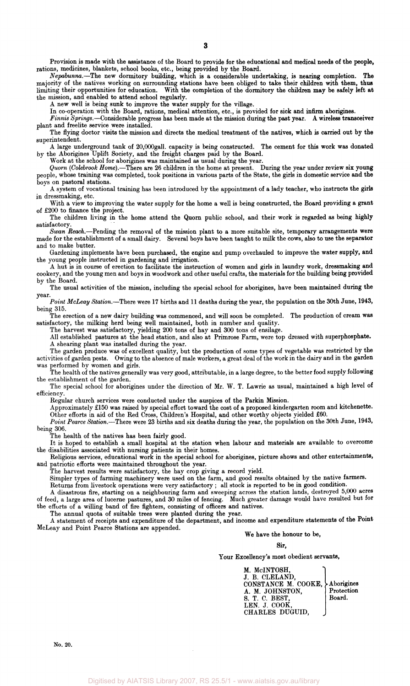Provision is made with the assistance of the Board to provide for the educational and medical needs of the people, rations, medicines, blankets, school books, etc., being provided by the Board.

*Nepabunna.*—The new dormitory building, which is a considerable undertaking, is nearing completion. The majority of the natives working on surrounding stations have been obliged to take their children with them, thus limiting their opportunities for education. With the completion of the dormitory the children may be safely left at the mission, and enabled to attend school regularly.

A new well is being sunk to improve the water supply for the village.

In co-operation with the Board, rations, medical attention, etc., is provided for sick and infirm aborigines.

*Finnis Springs.*—Considerable progress has been made at the mission during the past year. A wireless transceiver plant and freelite service were installed.

The flying doctor visits the mission and directs the medical treatment of the natives, which is carried out by the superintendent.

A large underground tank of 20,000gall. capacity is being constructed. The cement for this work was donated by the Aborigines Uplift Society, and the freight charges paid by the Board.

Work at the school for aborigines was maintained as usual during the year.

*Quorn (Colebrook Home).*—There are 26 children in the home at present. During the year under review six young people, whose training was completed, took positions in various parts of the State, the girls in domestic service and the boys on pastoral stations.

A system of vocational training has been introduced by the appointment of a lady teacher, who instructs the girls in dressmaking, etc.

With a view to improving the water supply for the home a well is being constructed, the Board providing a grant of £200 to finance the project.

The children living in the home attend the Quorn public school, and their work is regarded as being highly satisfactory.

*Swan Reach.*—Pending the removal of the mission plant to a more suitable site, temporary arrangements were made for the establishment of a small dairy. Several boys have been taught to milk the cows, also to use the separator and to make butter.

Gardening implements have been purchased, the engine and pump overhauled to improve the water supply, and young people instructed in gardening and irrigation.

A hut is in course of erection to facilitate the instruction of women and girls in laundry work, dressmaking and cookery, and the young men and boys in woodwork and other useful crafts, the materials for the building being provided by the Board.

The usual activities of the mission, including the special school for aborigines, have been maintained during the year.

*Point McLeay Station.*—There were 17 births and 11 deaths during the year, the population on the 30th June, 1943, being 315.

The erection of a new dairy building was commenced, and will soon be completed. The production of cream was satisfactory, the milking herd being well maintained, both in number and quality.

The harvest was satisfactory, yielding 200 tons of hay and 300 tons of ensilage.

The harvest was satisfactory, yielding 200 tons of hay and 300 tons of ensilage.<br>All established pastures at the head station, and also at Primrose Farm, were top dressed with superphosphate.

A shearing plant was installed during the year.

The garden produce was of excellent quality, but the production of some types of vegetable was restricted by the activities of garden pests. Owing to the absence of male workers, a great deal of the work in the dairy and in the garden performed by women and girls.

The health of the natives generally was very good, attributable, in a large degree, to the better food supply following the establishment of the garden.

The special school for aborigines under the direction of Mr. W. T. Lawrie as usual, maintained a high level of efficiency.

Regular church services were conducted under the auspices of the Parkin Mission.

Approximately £150 was raised by special effort toward the cost of a proposed kindergarten room and kitchenette. Other efforts in aid of the Red Cross, Children's Hospital, and other worthy objects yielded £60.

*Point Pearce Station.*—There were 23 births and six deaths during the year, the population on the 30th June, 1943, being 306.

The health of the natives has been fairly good.

It is hoped to establish a small hospital at the station when labour and materials are available to overcome the disabilities associated with nursing patients in their homes.

Religious services, educational work in the special school for aborigines, picture shows and other entertainments, and patriotic efforts were maintained throughout the year.

The harvest results were satisfactory, the hay crop giving a record yield.

Simpler types of farming machinery were used on the farm, and good results obtained by the native farmers.

Returns from livestock operations were very satisfactory ; all stock is reported to be in good condition.

A disastrous fire, starting on a neighbouring farm and sweeping across the station lands, destroyed 5,000 acres of feed, a large area of lucerne pastures, and 30 miles of fencing. Much greater damage would have resulted but for the efforts of a willing band of fire fighters, consisting of officers and natives.

The annual quota of suitable trees were planted during the year.

A statement of receipts and expenditure of the department, and income and expenditure statements of the Point McLeay and Point Pearce Stations are appended.

We have the honour to be,

 $\mathbf{u}$ 

Your Excellency's most obedient servants,

M. McINTOSH, J. B. CLELAND, CONSTANCE M. COOKE, Aborigines A. M. JOHNSTON, Protection S. T. C. BEST,  $|\text{Board.}|$ LEN. J. COOK, CHARLES DUGUID,

No. 20.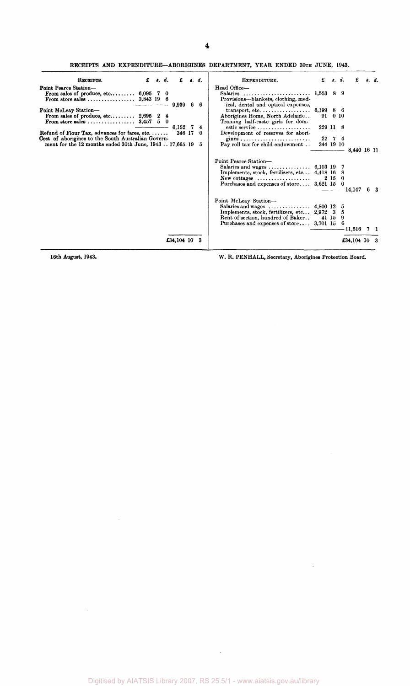RECEIPTS AND EXPENDITURE-ABORIGINES DEPARTMENT, YEAR ENDED 30TH JUNE, 1943.

| RECEIPTS.                                                                                                     | $\mathbf f$ $\mathbf s$ , $\mathbf d$ , | £                 | $\theta$ , $d$ . | EXPENDITURE.                                                                                                                                                                               | £         |         | s. d.    | £                  | 8. d.     |
|---------------------------------------------------------------------------------------------------------------|-----------------------------------------|-------------------|------------------|--------------------------------------------------------------------------------------------------------------------------------------------------------------------------------------------|-----------|---------|----------|--------------------|-----------|
| Point Pearce Station-<br>From sales of produce, etc $6,095$ 7 0<br>From store sales $3,843$ 19 6              |                                         |                   |                  | Head Office-<br>Salaries<br>Provisions-blankets, clothing, med-                                                                                                                            | 1,553 8 9 |         |          |                    |           |
| Point McLeay Station-<br>From sales of produce, etc $2,695$ 2 4<br>From store sales  3,457 $5\quad 0$         |                                         | $9,939$ 6         | -6               | ical, dental and optical expenses,<br>$transport, etc. \ldots \ldots \ldots \ldots \ldots$<br>Aborigines Home, North Adelaide<br>Training half-caste girls for dom-                        | 6,199 8 6 | 91 0 10 |          |                    |           |
| Refund of Flour Tax, advances for fares, etc                                                                  |                                         | 6.152 7<br>346 17 | 4<br>$\theta$    | estic service<br>Development of reserves for abori-                                                                                                                                        | 229 11 8  |         |          |                    |           |
| Cost of aborigines to the South Australian Govern-<br>ment for the 12 months ended 30th June, 194317,665 19 5 |                                         |                   |                  | Pay roll tax for child endowment                                                                                                                                                           | 344 19 10 | 22 7 4  |          | 8,440 16 11        |           |
|                                                                                                               |                                         |                   |                  | Point Pearce Station-<br>Implements, stock, fertilizers, etc 4,418 16 8<br>$New \text{ cottages } \dots \dots \dots \dots \dots \dots$<br>Purchases and expenses of store 3,621 15 0       |           | 2150    |          |                    |           |
|                                                                                                               |                                         |                   |                  | Point McLeay Station-<br>Salaries and wages $4,800$ 12 5<br>Implements, stock, fertilizers, etc 2,972 3<br>Rent of section, hundred of Baker<br>Purchases and expenses of store 3,701 15 6 | 41 15     |         | -5<br>-9 | 14,147<br>- 11,516 | 63<br>7 1 |
|                                                                                                               |                                         |                   |                  |                                                                                                                                                                                            |           |         |          |                    |           |
|                                                                                                               |                                         | £34,104 10 3      |                  |                                                                                                                                                                                            |           |         |          | £34,104 10 3       |           |

 $\hat{\mathcal{A}}$ 

 $\mathcal{A}$ 

16th August, 1943. W. R. PENHALL, Secretary, Aborigines Protection Board.

 $\sim$ 

 $\sim 10^{-1}$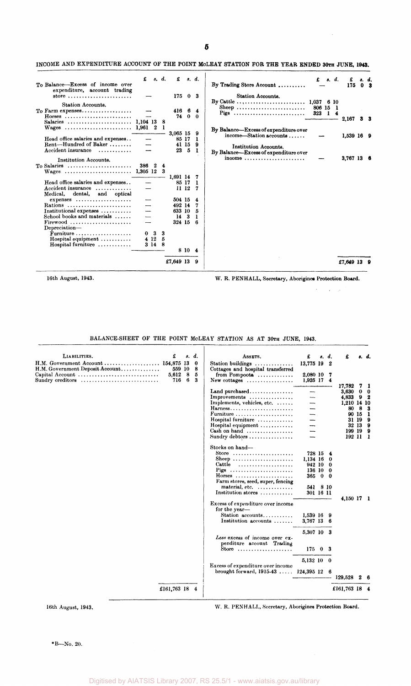### INCOME AND EXPENDITURE ACCOUNT OF THE POINT MOLEAY STATION FOR THE YEAR ENDED 30TH JUNE, 1943.

|                                                                                            | £         | s. d.  |        | £                      |        | s. d.       |                                                           | £        | s. d.        |   | £            |                |
|--------------------------------------------------------------------------------------------|-----------|--------|--------|------------------------|--------|-------------|-----------------------------------------------------------|----------|--------------|---|--------------|----------------|
| To Balance-Excess of income over<br>expenditure, account trading                           |           |        |        |                        |        |             | By Trading Store Account                                  |          |              |   | 175          | 0 <sup>3</sup> |
| store                                                                                      |           |        |        | 17503                  |        |             | Station Accounts.                                         |          |              |   |              |                |
| <b>Station Accounts.</b>                                                                   |           |        |        |                        |        |             |                                                           | 806 15 1 |              |   |              |                |
| To Farm expenses                                                                           |           |        |        | 416 6 4                |        |             | Sheep<br>Pigs                                             | 323      | $\mathbf{I}$ | 4 |              |                |
| $H$ orses<br>Salaries  1,104 13 8                                                          |           |        |        | 74                     |        | $0 \quad 0$ |                                                           |          |              |   | 2,167        | 33             |
| Wages  1,961 2                                                                             |           |        |        |                        |        |             | By Balance—Excess of expenditure over                     |          |              |   |              |                |
|                                                                                            |           |        |        | 3,065 15 9             |        |             | $income—Station accounts \ldots$                          |          |              |   | $1.539$ 16 9 |                |
| Head office salaries and expenses<br>Rent—Hundred of Baker $\dots\dots$                    |           |        |        | 85 17<br>41 15         |        | - 1<br>- 9  | <b>Institution Accounts.</b>                              |          |              |   |              |                |
| Accident insurance                                                                         |           |        |        | 23                     | - 5    | -1          | By Balance-Excess of expenditure over                     |          |              |   |              |                |
| Institution Accounts.                                                                      |           |        |        |                        |        |             | income $\ldots \ldots \ldots \ldots \ldots \ldots \ldots$ |          |              |   | 3,767 13 6   |                |
| To Salaries $\ldots \ldots \ldots \ldots \ldots \ldots \ldots$                             | 386 2     |        | 4      |                        |        |             |                                                           |          |              |   |              |                |
|                                                                                            |           |        | 3      | 1,691 14 7             |        |             |                                                           |          |              |   |              |                |
| Head office salaries and expenses                                                          |           |        |        | 85 17 1                |        |             |                                                           |          |              |   |              |                |
| Accident insurance                                                                         |           |        |        | 1112                   |        | -7          |                                                           |          |              |   |              |                |
| and optical<br>Medical.<br>dental,<br>$expenses \ldots \ldots \ldots \ldots \ldots \ldots$ |           |        |        | 504 15 4               |        |             |                                                           |          |              |   |              |                |
| Rations                                                                                    |           |        |        | 492 14                 |        |             |                                                           |          |              |   |              |                |
| Institutional expenses $\dots\dots\dots$<br>School books and materials                     |           |        |        | 633 10<br>$14 \quad 3$ |        | 5<br>-1     |                                                           |          |              |   |              |                |
|                                                                                            |           |        |        | 324 15                 |        | - 6         |                                                           |          |              |   |              |                |
| Depreciation-                                                                              |           |        |        |                        |        |             |                                                           |          |              |   |              |                |
| $\overline{\mathbf{F}}$ urniture<br>$Hospital$ equipment $\ldots \ldots \ldots$            | 0<br>4 12 | 3      | 3<br>5 |                        |        |             |                                                           |          |              |   |              |                |
| Hospital furniture                                                                         |           | 3 14 8 |        |                        |        |             |                                                           |          |              |   |              |                |
|                                                                                            |           |        |        |                        | 8 10 4 |             |                                                           |          |              |   |              |                |
|                                                                                            |           |        |        | £7,649 13              |        | -9          |                                                           |          |              |   | £7,649 13 9  |                |
|                                                                                            |           |        |        |                        |        |             |                                                           |          |              |   |              |                |

16th August, 1943. W. R. PENHALL, Secretary, Aborigines Protection Board.

 $\alpha\rightarrow\beta$ 

 $\bar{z}$ 

BALANCE-SHEET OF THE POINT MCLEAY STATION AS AT 30TH JUNE, 1943.

| LIABILITIES.                                               | £                    |           | s. d.          | ASSETS.                                                                 | £                    | 8.           | d.               | £               |         | s. d.            |
|------------------------------------------------------------|----------------------|-----------|----------------|-------------------------------------------------------------------------|----------------------|--------------|------------------|-----------------|---------|------------------|
| H.M. Government Account<br>H.M. Government Deposit Account | 154,875 13<br>559 10 |           | $\bf{0}$<br>-8 | <b>Station buildings</b><br>.<br>Cottages and hospital transferred      | 13,775 19            |              | $\boldsymbol{2}$ |                 |         |                  |
| Capital Account<br>Sundry creditors                        | 5,612<br>716         | - 8<br>-6 | 5<br>3         | from Pompoota $\ldots$<br>New cottages $\dots\dots\dots\dots\dots\dots$ | 2,080 10<br>1,925 17 |              | -7<br>4          |                 |         |                  |
|                                                            |                      |           |                | Land purchased                                                          |                      |              |                  | 17,782<br>3,630 |         | 71<br>$0\quad 0$ |
|                                                            |                      |           |                | Improvements                                                            |                      |              |                  | 4,833           | 9       | 2                |
|                                                            |                      |           |                | Implements, vehicles, etc.                                              |                      |              |                  | 1.210 14 10     |         |                  |
|                                                            |                      |           |                | Harness                                                                 |                      |              |                  | 80              | 8       | 3                |
|                                                            |                      |           |                | Furniture                                                               |                      |              |                  | 90 15           |         | -1               |
|                                                            |                      |           |                | Hospital furniture                                                      |                      |              |                  |                 | 31 19   | 9                |
|                                                            |                      |           |                | Hospital equipment $\ldots \ldots \ldots$                               |                      |              |                  |                 | 32 13 9 |                  |
|                                                            |                      |           |                | Cash on hand                                                            |                      |              |                  | 199 19          |         | 9                |
|                                                            |                      |           |                | Sundry debtors                                                          |                      |              |                  | 192 11 1        |         |                  |
|                                                            |                      |           |                | Stocks on hand-                                                         |                      |              |                  |                 |         |                  |
|                                                            |                      |           |                | Store $\ldots \ldots \ldots \ldots \ldots \ldots \ldots$                | 728 154              |              |                  |                 |         |                  |
|                                                            |                      |           |                | Sheep                                                                   | 1,134 16             |              | 0                |                 |         |                  |
|                                                            |                      |           |                | Cattle                                                                  | 942 10               |              | $\boldsymbol{0}$ |                 |         |                  |
|                                                            |                      |           |                | Pigs                                                                    | 136 10               |              | - 0              |                 |         |                  |
|                                                            |                      |           |                | $H$ orses                                                               | 365                  | $\mathbf{0}$ | -0               |                 |         |                  |
|                                                            |                      |           |                | Farm stores, seed, super, fencing                                       |                      |              |                  |                 |         |                  |
|                                                            |                      |           |                | material, etc.                                                          | 541 8 10             |              |                  |                 |         |                  |
|                                                            |                      |           |                | Institution stores                                                      | 301 16 11            |              |                  |                 |         |                  |
|                                                            |                      |           |                |                                                                         |                      |              |                  | 4,150 17 1      |         |                  |
|                                                            |                      |           |                | Excess of expenditure over income                                       |                      |              |                  |                 |         |                  |
|                                                            |                      |           |                | for the year-<br>Station accounts                                       |                      |              |                  |                 |         |                  |
|                                                            |                      |           |                | Institution accounts                                                    | 1,539 16 9           |              |                  |                 |         |                  |
|                                                            |                      |           |                |                                                                         | 3,767 13             |              | -6               |                 |         |                  |
|                                                            |                      |           |                |                                                                         | 5,307 10 3           |              |                  |                 |         |                  |
|                                                            |                      |           |                | Less excess of income over ex-                                          |                      |              |                  |                 |         |                  |
|                                                            |                      |           |                | penditure account Trading                                               |                      |              |                  |                 |         |                  |
|                                                            |                      |           |                | Store $\ldots \ldots \ldots \ldots \ldots \ldots$                       | 17503                |              |                  |                 |         |                  |
|                                                            |                      |           |                |                                                                         |                      |              |                  |                 |         |                  |
|                                                            |                      |           |                |                                                                         | 5,132 10 0           |              |                  |                 |         |                  |
|                                                            |                      |           |                | Excess of expenditure over income                                       |                      |              |                  |                 |         |                  |
|                                                            |                      |           |                | brought forward, $1915-43$                                              | $124.395$ 12 6       |              |                  |                 |         |                  |
|                                                            |                      |           |                |                                                                         |                      |              |                  | 129,528         | 2       |                  |
|                                                            | £161,763 18 4        |           |                |                                                                         |                      |              |                  | £161,763 18 4   |         |                  |
|                                                            |                      |           |                |                                                                         |                      |              |                  |                 |         |                  |
|                                                            |                      |           |                |                                                                         |                      |              |                  |                 |         |                  |

16th August, 1943. W. R. PENHALL, Secretary, Aborigines Protection Board.

\*B—No. 20.